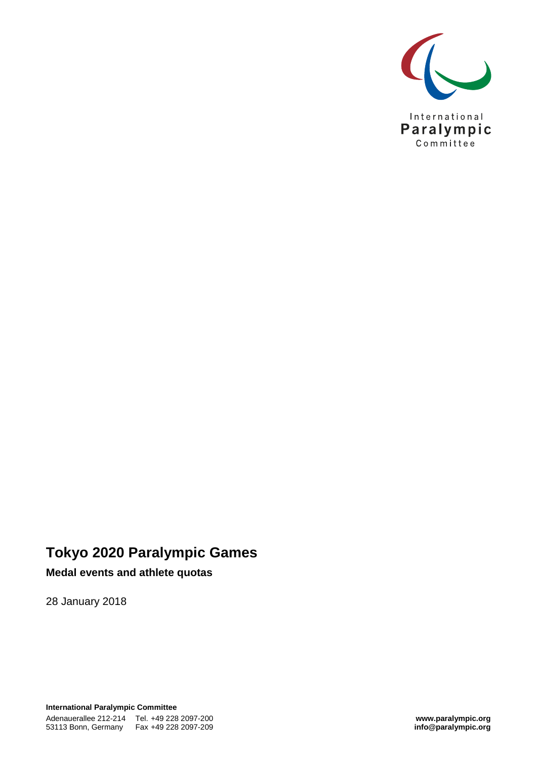

# **Tokyo 2020 Paralympic Games**

#### **Medal events and athlete quotas**

28 January 2018

**International Paralympic Committee** Adenauerallee 212-214 Tel. +49 228 2097-200 **www.paralympic.org** 53113 Bonn, Germany Fax +49 228 2097-209 **info@paralympic.org**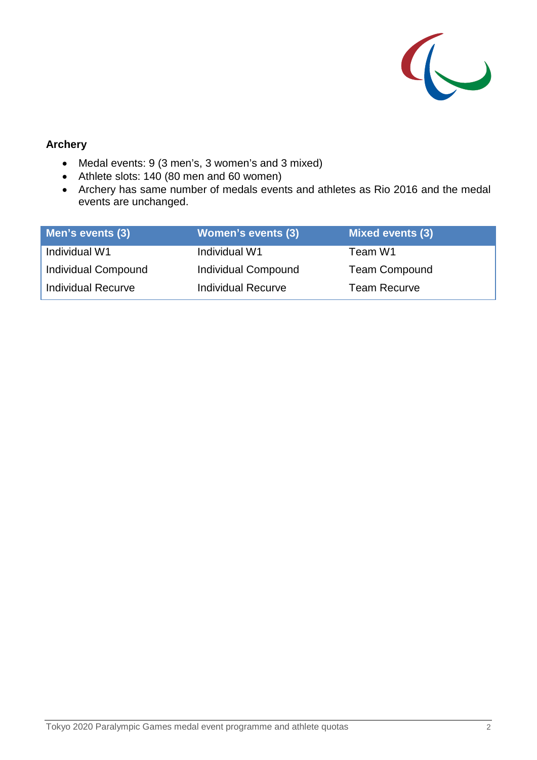

#### **Archery**

- Medal events: 9 (3 men's, 3 women's and 3 mixed)
- Athlete slots: 140 (80 men and 60 women)
- Archery has same number of medals events and athletes as Rio 2016 and the medal events are unchanged.

| Men's events (3)          | <b>Women's events (3)</b> | <b>Mixed events (3)</b> |
|---------------------------|---------------------------|-------------------------|
| Individual W1             | Individual W1             | Team W1                 |
| Individual Compound       | Individual Compound       | <b>Team Compound</b>    |
| <b>Individual Recurve</b> | <b>Individual Recurve</b> | <b>Team Recurve</b>     |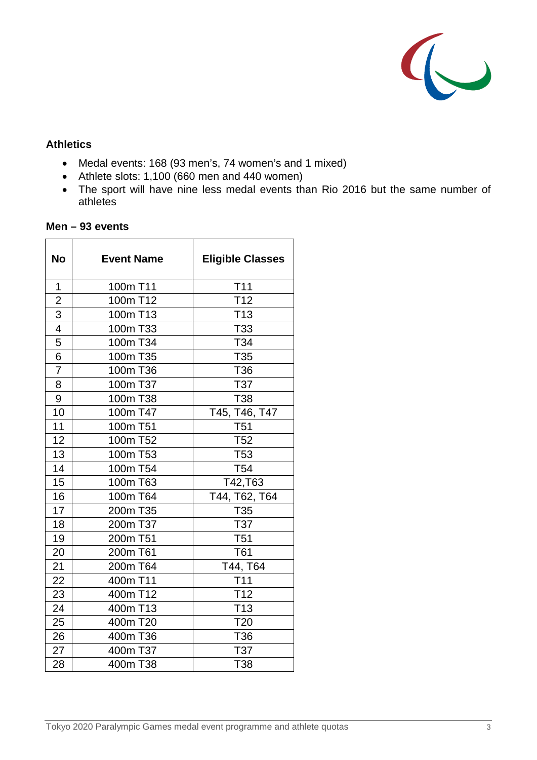

#### **Athletics**

- Medal events: 168 (93 men's, 74 women's and 1 mixed)
- Athlete slots: 1,100 (660 men and 440 women)
- The sport will have nine less medal events than Rio 2016 but the same number of athletes

| <b>No</b>               | <b>Event Name</b> | <b>Eligible Classes</b> |
|-------------------------|-------------------|-------------------------|
| $\overline{1}$          | 100m T11          | T <sub>11</sub>         |
| $\overline{\mathbf{c}}$ | 100m T12          | T <sub>12</sub>         |
| 3                       | 100m T13          | T <sub>13</sub>         |
| $\overline{4}$          | 100m T33          | T33                     |
| 5                       | 100m T34          | T34                     |
| 6                       | 100m T35          | T35                     |
| $\overline{7}$          | 100m T36          | T <sub>36</sub>         |
| 8                       | 100m T37          | T37                     |
| 9                       | 100m T38          | T38                     |
| 10                      | 100m T47          | T45, T46, T47           |
| 11                      | 100m T51          | T <sub>51</sub>         |
| 12                      | 100m T52          | T <sub>52</sub>         |
| 13                      | 100m T53          | T <sub>53</sub>         |
| 14                      | 100m T54          | T <sub>54</sub>         |
| 15                      | 100m T63          | T42, T63                |
| 16                      | 100m T64          | T44, T62, T64           |
| 17                      | 200m T35          | T35                     |
| 18                      | 200m T37          | T37                     |
| 19                      | 200m T51          | <b>T51</b>              |
| 20                      | 200m T61          | T61                     |
| 21                      | 200m T64          | T44, T64                |
| 22                      | 400m T11          | T <sub>11</sub>         |
| 23                      | 400m T12          | T <sub>12</sub>         |
| 24                      | 400m T13          | T <sub>13</sub>         |
| 25                      | 400m T20          | T <sub>20</sub>         |
| 26                      | 400m T36          | T36                     |
| 27                      | 400m T37          | T37                     |
| 28                      | 400m T38          | T38                     |

#### **Men – 93 events**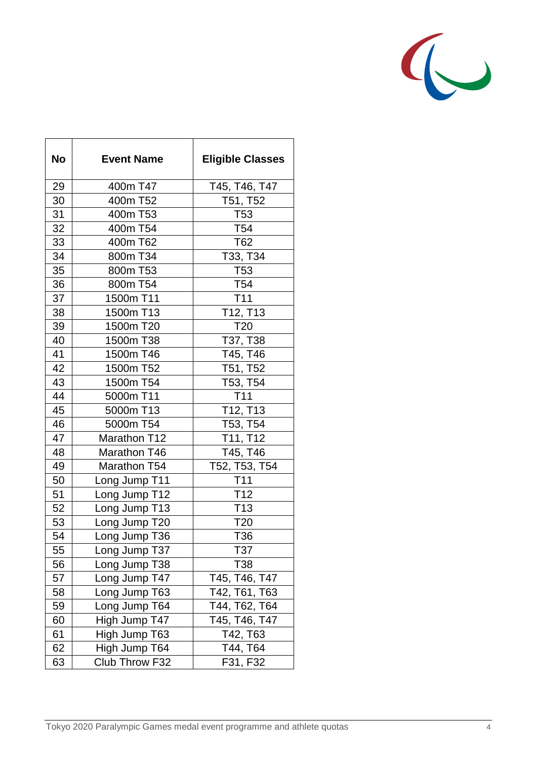

| <b>No</b> | <b>Event Name</b> | <b>Eligible Classes</b>           |
|-----------|-------------------|-----------------------------------|
| 29        | 400m T47          | T45, T46, T47                     |
| 30        | 400m T52          | T51, T52                          |
| 31        | 400m T53          | T <sub>53</sub>                   |
| 32        | 400m T54          | T54                               |
| 33        | 400m T62          | T62                               |
| 34        | 800m T34          | T33, T34                          |
| 35        | 800m T53          | T <sub>53</sub>                   |
| 36        | 800m T54          | T54                               |
| 37        | 1500m T11         | T <sub>11</sub>                   |
| 38        | 1500m T13         | T <sub>12</sub> , T <sub>13</sub> |
| 39        | 1500m T20         | T <sub>20</sub>                   |
| 40        | 1500m T38         | T37, T38                          |
| 41        | 1500m T46         | T45, T46                          |
| 42        | 1500m T52         | T51, T52                          |
| 43        | 1500m T54         | T53, T54                          |
| 44        | 5000m T11         | T <sub>11</sub>                   |
| 45        | 5000m T13         | T12, T13                          |
| 46        | 5000m T54         | T53, T54                          |
| 47        | Marathon T12      | T11, T12                          |
| 48        | Marathon T46      | T45, T46                          |
| 49        | Marathon T54      | T52, T53, T54                     |
| 50        | Long Jump T11     | T <sub>11</sub>                   |
| 51        | Long Jump T12     | T <sub>12</sub>                   |
| 52        | Long Jump T13     | T <sub>13</sub>                   |
| 53        | Long Jump T20     | T <sub>20</sub>                   |
| 54        | Long Jump T36     | T36                               |
| 55        | Long Jump T37     | T37                               |
| 56        | Long Jump T38     | T38                               |
| 57        | Long Jump T47     | T45, T46, T47                     |
| 58        | Long Jump T63     | T42, T61, T63                     |
| 59        | Long Jump T64     | T44, T62, T64                     |
| 60        | High Jump T47     | T45, T46, T47                     |
| 61        | High Jump T63     | T42, T63                          |
| 62        | High Jump T64     | T44, T64                          |
| 63        | Club Throw F32    | F31, F32                          |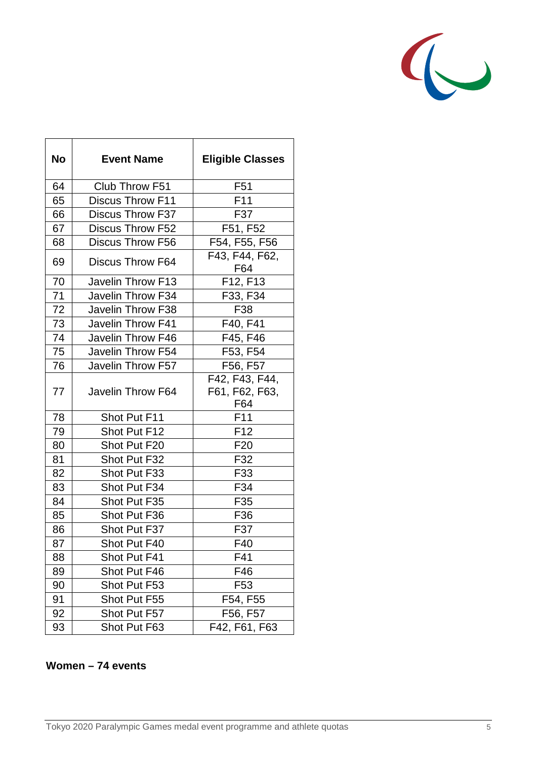

| <b>No</b> | <b>Event Name</b>       | <b>Eligible Classes</b>                 |
|-----------|-------------------------|-----------------------------------------|
| 64        | Club Throw F51          | F <sub>51</sub>                         |
| 65        | <b>Discus Throw F11</b> | F <sub>11</sub>                         |
| 66        | <b>Discus Throw F37</b> | F37                                     |
| 67        | <b>Discus Throw F52</b> | F51, F52                                |
| 68        | Discus Throw F56        | F54, F55, F56                           |
| 69        | <b>Discus Throw F64</b> | F43, F44, F62,<br>F64                   |
| 70        | Javelin Throw F13       | F12, F13                                |
| 71        | Javelin Throw F34       | F33, F34                                |
| 72        | Javelin Throw F38       | F38                                     |
| 73        | Javelin Throw F41       | F40, F41                                |
| 74        | Javelin Throw F46       | F45, F46                                |
| 75        | Javelin Throw F54       | F53, F54                                |
| 76        | Javelin Throw F57       | F56, F57                                |
| 77        | Javelin Throw F64       | F42, F43, F44,<br>F61, F62, F63,<br>F64 |
| 78        | Shot Put F11            | F11                                     |
| 79        | Shot Put F12            | F <sub>12</sub>                         |
| 80        | Shot Put F20            | F <sub>20</sub>                         |
| 81        | Shot Put F32            | F32                                     |
| 82        | Shot Put F33            | F33                                     |
| 83        | Shot Put F34            | F34                                     |
| 84        | Shot Put F35            | F35                                     |
| 85        | Shot Put F36            | F36                                     |
| 86        | Shot Put F37            | F37                                     |
| 87        | Shot Put F40            | F40                                     |
| 88        | Shot Put F41            | F41                                     |
| 89        | Shot Put F46            | F46                                     |
| 90        | Shot Put F53            | F <sub>53</sub>                         |
| 91        | Shot Put F55            | F54, F55                                |
| 92        | Shot Put F57            | F56, F57                                |
| 93        | Shot Put F63            | F42, F61, F63                           |

### **Women – 74 events**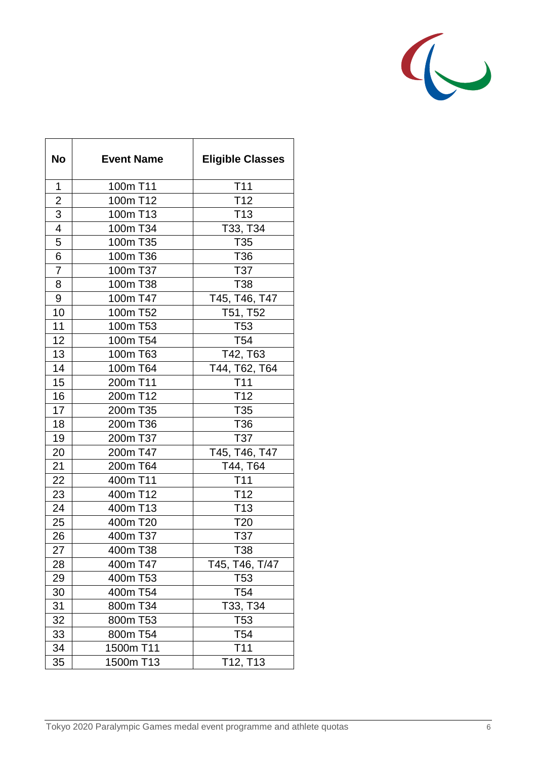

| <b>No</b>      | <b>Event Name</b> | <b>Eligible Classes</b> |
|----------------|-------------------|-------------------------|
| 1              | 100m T11          | <b>T11</b>              |
| $\overline{2}$ | 100m T12          | T <sub>12</sub>         |
| 3              | 100m T13          | T <sub>13</sub>         |
| $\overline{4}$ | 100m T34          | T33, T34                |
| 5              | 100m T35          | T <sub>35</sub>         |
| 6              | 100m T36          | T36                     |
| 7              | 100m T37          | T37                     |
| 8              | 100m T38          | T38                     |
| 9              | 100m T47          | T45, T46, T47           |
| 10             | 100m T52          | T51, T52                |
| 11             | 100m T53          | T <sub>53</sub>         |
| 12             | 100m T54          | T <sub>54</sub>         |
| 13             | 100m T63          | T42, T63                |
| 14             | 100m T64          | T44, T62, T64           |
| 15             | 200m T11          | T <sub>11</sub>         |
| 16             | 200m T12          | T <sub>12</sub>         |
| 17             | 200m T35          | T35                     |
| 18             | 200m T36          | T36                     |
| 19             | 200m T37          | T37                     |
| 20             | 200m T47          | T45, T46, T47           |
| 21             | 200m T64          | T44, T64                |
| 22             | 400m T11          | T <sub>11</sub>         |
| 23             | 400m T12          | T <sub>12</sub>         |
| 24             | 400m T13          | T <sub>13</sub>         |
| 25             | 400m T20          | T <sub>20</sub>         |
| 26             | 400m T37          | T37                     |
| 27             | 400m T38          | T38                     |
| 28             | 400m T47          | T45, T46, T/47          |
| 29             | 400m T53          | T53                     |
| 30             | 400m T54          | T54                     |
| 31             | 800m T34          | T33, T34                |
| 32             | 800m T53          | T53                     |
| 33             | 800m T54          | T <sub>54</sub>         |
| 34             | 1500m T11         | T <sub>11</sub>         |
| 35             | 1500m T13         | T12, T13                |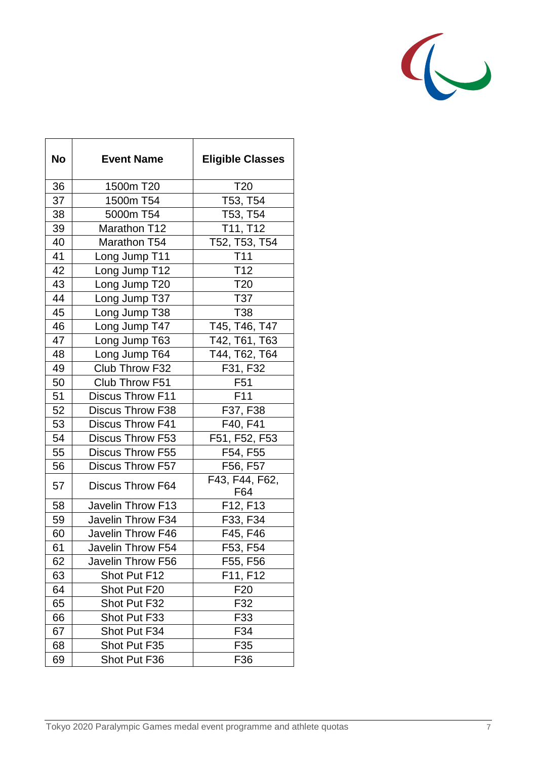

| <b>No</b> | <b>Event Name</b>       | <b>Eligible Classes</b> |
|-----------|-------------------------|-------------------------|
| 36        | 1500m T20               | T <sub>20</sub>         |
| 37        | 1500m T54               | T53, T54                |
| 38        | 5000m T54               | T53, T54                |
| 39        | Marathon T12            | T11, T12                |
| 40        | Marathon T54            | T52, T53, T54           |
| 41        | Long Jump T11           | T <sub>11</sub>         |
| 42        | Long Jump T12           | T <sub>12</sub>         |
| 43        | Long Jump T20           | T <sub>20</sub>         |
| 44        | Long Jump T37           | T37                     |
| 45        | Long Jump T38           | <b>T38</b>              |
| 46        | Long Jump T47           | T45, T46, T47           |
| 47        | Long Jump T63           | T42, T61, T63           |
| 48        | Long Jump T64           | T44, T62, T64           |
| 49        | Club Throw F32          | F31, F32                |
| 50        | Club Throw F51          | F <sub>51</sub>         |
| 51        | Discus Throw F11        | F <sub>11</sub>         |
| 52        | Discus Throw F38        | F37, F38                |
| 53        | <b>Discus Throw F41</b> | F40, F41                |
| 54        | Discus Throw F53        | F51, F52, F53           |
| 55        | <b>Discus Throw F55</b> | F54, F55                |
| 56        | <b>Discus Throw F57</b> | F56, F57                |
| 57        | Discus Throw F64        | F43, F44, F62,<br>F64   |
| 58        | Javelin Throw F13       | F12, F13                |
| 59        | Javelin Throw F34       | F33, F34                |
| 60        | Javelin Throw F46       | F45, F46                |
| 61        | Javelin Throw F54       | F53, F54                |
| 62        | Javelin Throw F56       | F55, F56                |
| 63        | Shot Put F12            | F11, F12                |
| 64        | Shot Put F20            | F <sub>20</sub>         |
| 65        | Shot Put F32            | F32                     |
| 66        | Shot Put F33            | F33                     |
| 67        | Shot Put F34            | F34                     |
| 68        | Shot Put F35            | F35                     |
| 69        | Shot Put F36            | F36                     |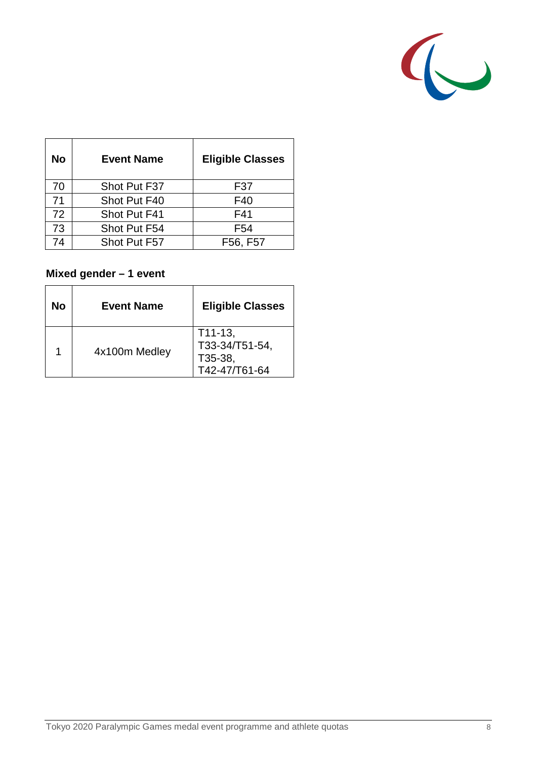

| <b>No</b> | <b>Event Name</b> | <b>Eligible Classes</b> |
|-----------|-------------------|-------------------------|
| 70        | Shot Put F37      | F37                     |
| 71        | Shot Put F40      | F40                     |
| 72        | Shot Put F41      | F41                     |
| 73        | Shot Put F54      | F <sub>54</sub>         |
| 74        | Shot Put F57      | F56, F57                |

## **Mixed gender – 1 event**

| No | <b>Event Name</b> | <b>Eligible Classes</b>                                 |
|----|-------------------|---------------------------------------------------------|
|    | 4x100m Medley     | $T11-13,$<br>T33-34/T51-54,<br>T35-38,<br>T42-47/T61-64 |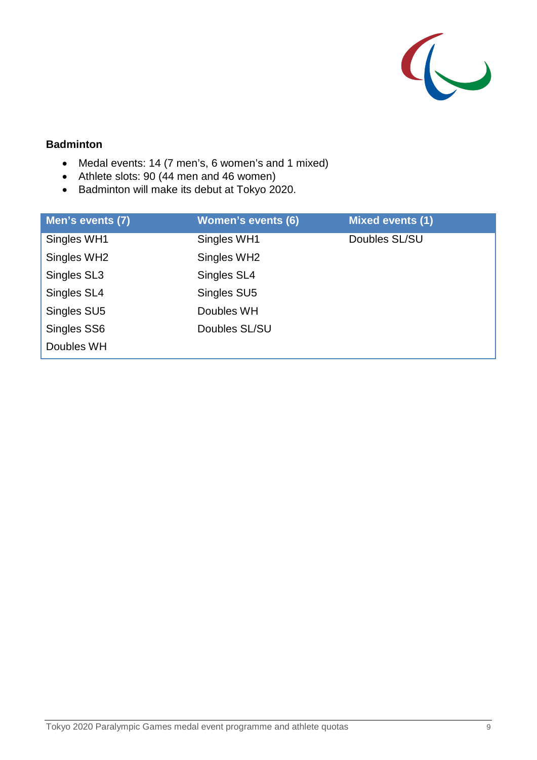

## **Badminton**

- Medal events: 14 (7 men's, 6 women's and 1 mixed)
- Athlete slots: 90 (44 men and 46 women)
- Badminton will make its debut at Tokyo 2020.

| Men's events (7) | <b>Women's events (6)</b> | <b>Mixed events (1)</b> |
|------------------|---------------------------|-------------------------|
| Singles WH1      | Singles WH1               | Doubles SL/SU           |
| Singles WH2      | Singles WH2               |                         |
| Singles SL3      | Singles SL4               |                         |
| Singles SL4      | Singles SU5               |                         |
| Singles SU5      | Doubles WH                |                         |
| Singles SS6      | Doubles SL/SU             |                         |
| Doubles WH       |                           |                         |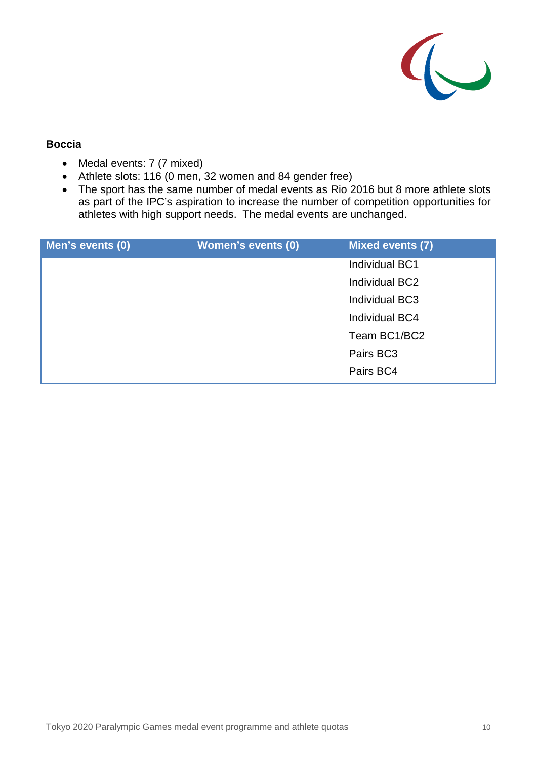

#### **Boccia**

- Medal events: 7 (7 mixed)
- Athlete slots: 116 (0 men, 32 women and 84 gender free)
- The sport has the same number of medal events as Rio 2016 but 8 more athlete slots as part of the IPC's aspiration to increase the number of competition opportunities for athletes with high support needs. The medal events are unchanged.

| Men's events (0) | <b>Women's events (0)</b> | <b>Mixed events (7)</b> |
|------------------|---------------------------|-------------------------|
|                  |                           | Individual BC1          |
|                  |                           | Individual BC2          |
|                  |                           | Individual BC3          |
|                  |                           | Individual BC4          |
|                  |                           | Team BC1/BC2            |
|                  |                           | Pairs BC3               |
|                  |                           | Pairs BC4               |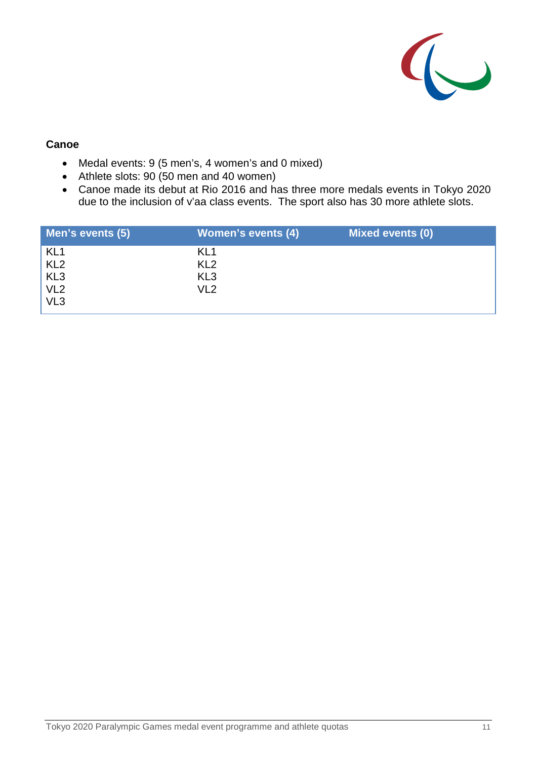

#### **Canoe**

- Medal events: 9 (5 men's, 4 women's and 0 mixed)
- Athlete slots: 90 (50 men and 40 women)
- Canoe made its debut at Rio 2016 and has three more medals events in Tokyo 2020 due to the inclusion of v'aa class events. The sport also has 30 more athlete slots.

| Men's events (5) | <b>Women's events (4)</b> | Mixed events (0) |
|------------------|---------------------------|------------------|
| KL <sub>1</sub>  | KL <sub>1</sub>           |                  |
| KL <sub>2</sub>  | KL <sub>2</sub>           |                  |
|                  | KL <sub>3</sub>           |                  |
| KL3<br>VL2       | VL <sub>2</sub>           |                  |
| VL <sub>3</sub>  |                           |                  |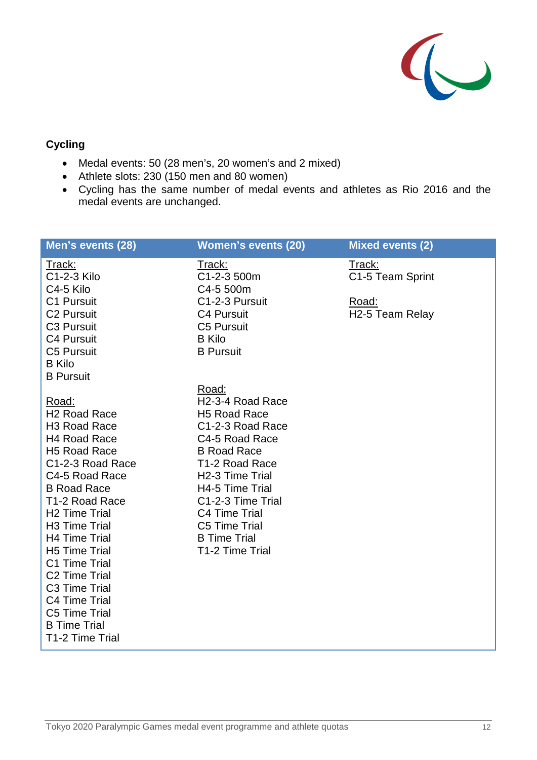

## **Cycling**

- Medal events: 50 (28 men's, 20 women's and 2 mixed)
- Athlete slots: 230 (150 men and 80 women)
- Cycling has the same number of medal events and athletes as Rio 2016 and the medal events are unchanged.

| Men's events (28)                                                                                                                                                                                                                                                                                                                                                                                                                                                                    | <b>Women's events (20)</b>                                                                                                                                                                                                                                                                                        | <b>Mixed events (2)</b>                                             |
|--------------------------------------------------------------------------------------------------------------------------------------------------------------------------------------------------------------------------------------------------------------------------------------------------------------------------------------------------------------------------------------------------------------------------------------------------------------------------------------|-------------------------------------------------------------------------------------------------------------------------------------------------------------------------------------------------------------------------------------------------------------------------------------------------------------------|---------------------------------------------------------------------|
| Track:<br>C1-2-3 Kilo<br>C4-5 Kilo<br>C1 Pursuit<br><b>C2 Pursuit</b><br>C <sub>3</sub> Pursuit<br><b>C4 Pursuit</b><br><b>C5 Pursuit</b><br><b>B</b> Kilo                                                                                                                                                                                                                                                                                                                           | <u>Track:</u><br>C1-2-3 500m<br>C4-5 500m<br>C1-2-3 Pursuit<br>C4 Pursuit<br>C5 Pursuit<br><b>B</b> Kilo<br><b>B</b> Pursuit                                                                                                                                                                                      | Track:<br>C1-5 Team Sprint<br>Road:<br>H <sub>2</sub> -5 Team Relay |
| <b>B</b> Pursuit<br>Road:<br>H <sub>2</sub> Road Race<br>H <sub>3</sub> Road Race<br>H <sub>4</sub> Road Race<br>H <sub>5</sub> Road Race<br>C1-2-3 Road Race<br>C4-5 Road Race<br><b>B Road Race</b><br>T <sub>1</sub> -2 Road Race<br><b>H2 Time Trial</b><br>H3 Time Trial<br><b>H4 Time Trial</b><br><b>H5 Time Trial</b><br>C1 Time Trial<br>C <sub>2</sub> Time Trial<br>C <sub>3</sub> Time Trial<br>C4 Time Trial<br>C5 Time Trial<br><b>B</b> Time Trial<br>T1-2 Time Trial | Road:<br>H <sub>2</sub> -3-4 Road Race<br>H <sub>5</sub> Road Race<br>C1-2-3 Road Race<br>C4-5 Road Race<br><b>B</b> Road Race<br>T <sub>1</sub> -2 Road Race<br>H <sub>2</sub> -3 Time Trial<br>H4-5 Time Trial<br>C1-2-3 Time Trial<br>C4 Time Trial<br>C5 Time Trial<br><b>B</b> Time Trial<br>T1-2 Time Trial |                                                                     |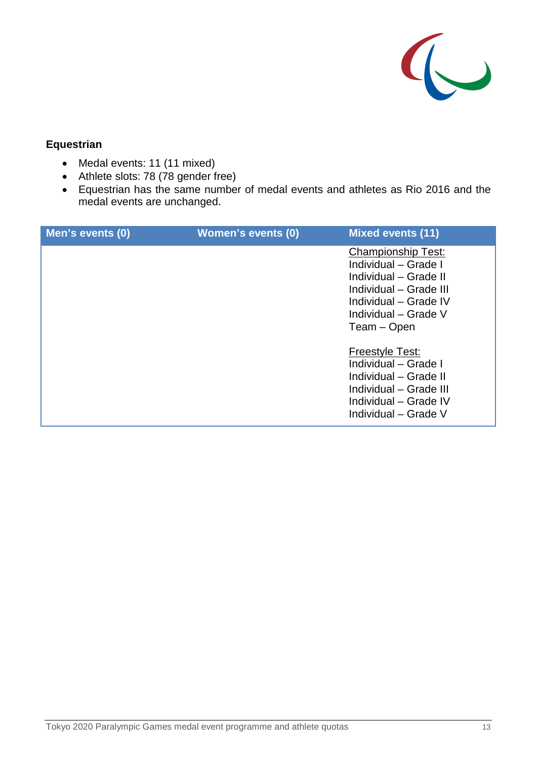

## **Equestrian**

- Medal events: 11 (11 mixed)
- Athlete slots: 78 (78 gender free)
- Equestrian has the same number of medal events and athletes as Rio 2016 and the medal events are unchanged.

| Men's events (0) | <b>Women's events (0)</b> | <b>Mixed events (11)</b>                                                                                                                                             |
|------------------|---------------------------|----------------------------------------------------------------------------------------------------------------------------------------------------------------------|
|                  |                           | <b>Championship Test:</b><br>Individual - Grade I<br>Individual - Grade II<br>Individual - Grade III<br>Individual - Grade IV<br>Individual – Grade V<br>Team - Open |
|                  |                           | Freestyle Test:<br>Individual - Grade I<br>Individual - Grade II<br>Individual - Grade III<br>Individual - Grade IV<br>Individual – Grade V                          |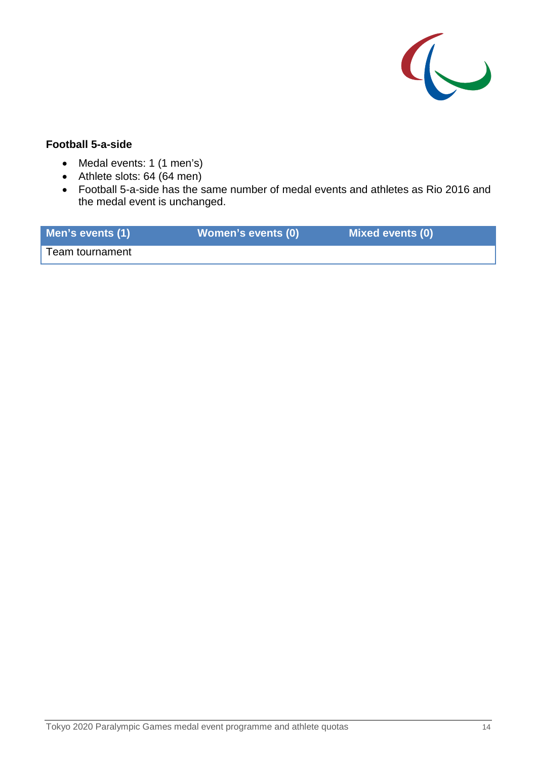

#### **Football 5-a-side**

- Medal events: 1 (1 men's)
- Athlete slots: 64 (64 men)
- Football 5-a-side has the same number of medal events and athletes as Rio 2016 and the medal event is unchanged.

| Men's events (1) | Women's events (0) | <b>Mixed events (0)</b> |
|------------------|--------------------|-------------------------|
| Team tournament  |                    |                         |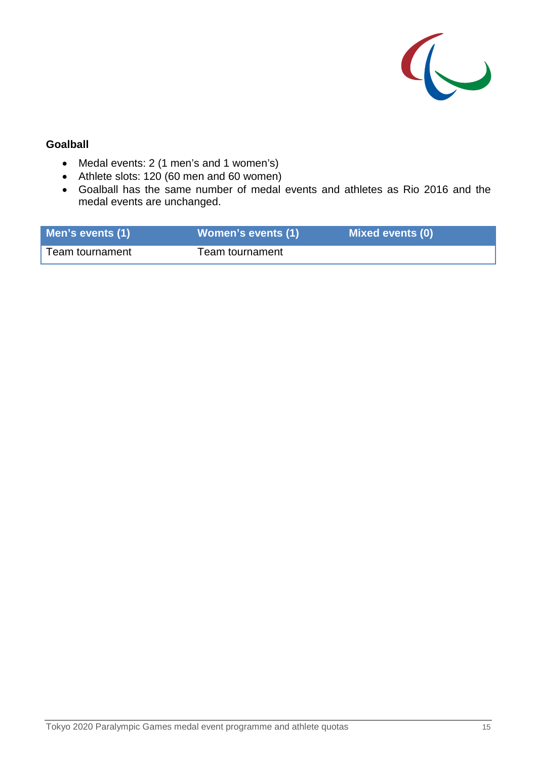

### **Goalball**

- Medal events: 2 (1 men's and 1 women's)
- Athlete slots: 120 (60 men and 60 women)
- Goalball has the same number of medal events and athletes as Rio 2016 and the medal events are unchanged.

| Men's events (1) | <b>Women's events (1)</b> | <b>Mixed events (0)</b> |
|------------------|---------------------------|-------------------------|
| Team tournament  | Team tournament           |                         |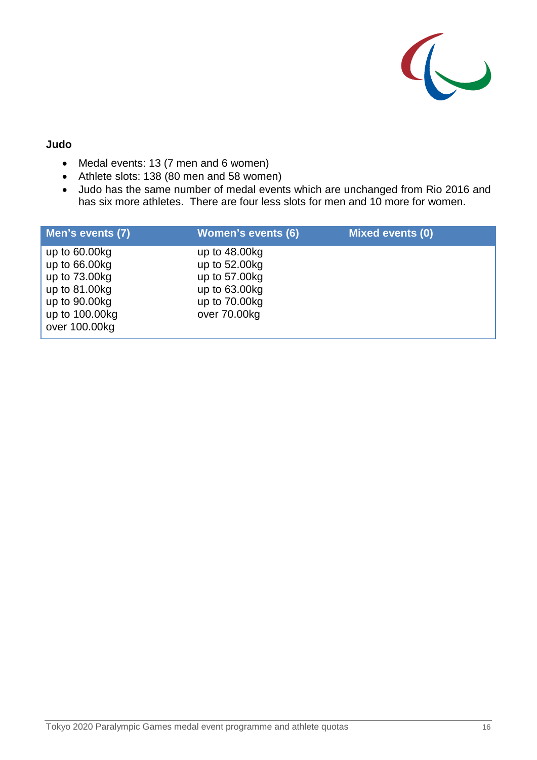

#### **Judo**

- Medal events: 13 (7 men and 6 women)
- Athlete slots: 138 (80 men and 58 women)
- Judo has the same number of medal events which are unchanged from Rio 2016 and has six more athletes. There are four less slots for men and 10 more for women.

| Men's events (7) | <b>Women's events (6)</b> | <b>Mixed events (0)</b> |
|------------------|---------------------------|-------------------------|
| up to $60.00kg$  | up to $48.00kg$           |                         |
| up to $66.00kg$  | up to 52.00kg             |                         |
| up to 73.00kg    | up to 57.00kg             |                         |
| up to 81.00kg    | up to $63.00kg$           |                         |
| up to 90.00kg    | up to $70.00kg$           |                         |
| up to 100.00kg   | over 70.00kg              |                         |
| over 100.00kg    |                           |                         |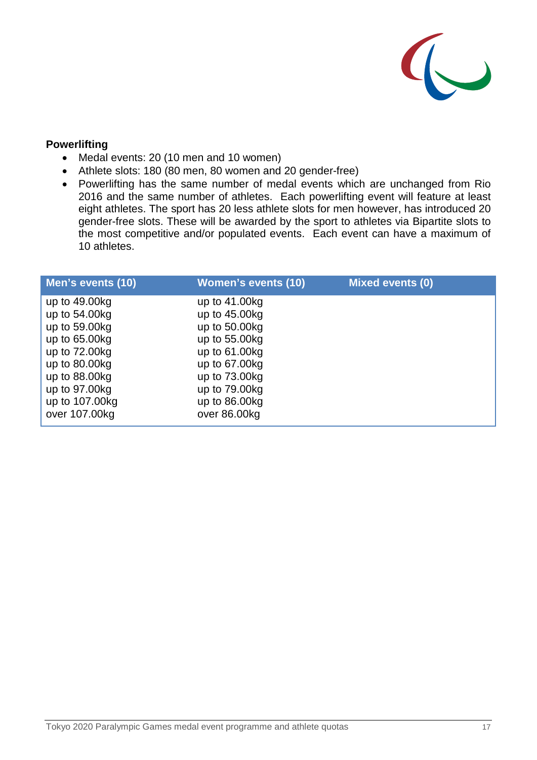

#### **Powerlifting**

- Medal events: 20 (10 men and 10 women)
- Athlete slots: 180 (80 men, 80 women and 20 gender-free)
- Powerlifting has the same number of medal events which are unchanged from Rio 2016 and the same number of athletes. Each powerlifting event will feature at least eight athletes. The sport has 20 less athlete slots for men however, has introduced 20 gender-free slots. These will be awarded by the sport to athletes via Bipartite slots to the most competitive and/or populated events. Each event can have a maximum of 10 athletes.

| Men's events (10) | <b>Women's events (10)</b> | <b>Mixed events (0)</b> |
|-------------------|----------------------------|-------------------------|
| up to 49.00kg     | up to $41.00kg$            |                         |
| up to 54.00kg     | up to $45.00kg$            |                         |
| up to 59.00kg     | up to $50.00kg$            |                         |
| up to 65.00kg     | up to $55.00kg$            |                         |
| up to 72.00kg     | up to $61.00kg$            |                         |
| up to $80.00kg$   | up to 67.00kg              |                         |
| up to $88.00kg$   | up to 73.00kg              |                         |
| up to 97.00kg     | up to $79.00kg$            |                         |
| up to 107.00kg    | up to $86.00kg$            |                         |
| over 107.00kg     | over 86.00kg               |                         |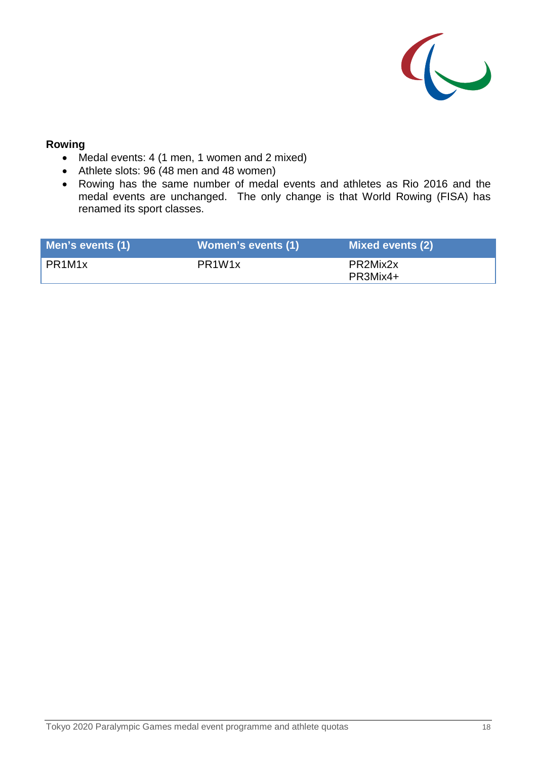

#### **Rowing**

- Medal events: 4 (1 men, 1 women and 2 mixed)
- Athlete slots: 96 (48 men and 48 women)
- Rowing has the same number of medal events and athletes as Rio 2016 and the medal events are unchanged. The only change is that World Rowing (FISA) has renamed its sport classes.

| Men's events (1) | <b>Women's events (1)</b>       | <b>Mixed events (2)</b> |
|------------------|---------------------------------|-------------------------|
| PR1M1x           | PR <sub>1</sub> W <sub>1x</sub> | PR2Mix2x<br>PR3Mix4+    |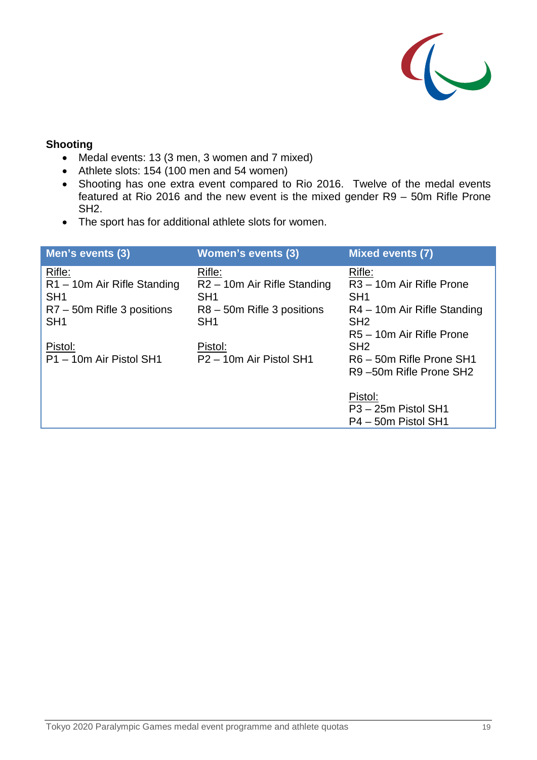

## **Shooting**

- Medal events: 13 (3 men, 3 women and 7 mixed)
- Athlete slots: 154 (100 men and 54 women)
- Shooting has one extra event compared to Rio 2016. Twelve of the medal events featured at Rio 2016 and the new event is the mixed gender R9 – 50m Rifle Prone SH2.
- The sport has for additional athlete slots for women.

| Men's events (3)                                                                                        | <b>Women's events (3)</b>                                                                                               | <b>Mixed events (7)</b>                                                                                                                         |
|---------------------------------------------------------------------------------------------------------|-------------------------------------------------------------------------------------------------------------------------|-------------------------------------------------------------------------------------------------------------------------------------------------|
| Rifle:<br>R1-10m Air Rifle Standing<br>SH <sub>1</sub><br>R7 - 50m Rifle 3 positions<br>SH <sub>1</sub> | Rifle:<br>R <sub>2</sub> – 10m Air Rifle Standing<br>SH <sub>1</sub><br>$R8 - 50m$ Rifle 3 positions<br>SH <sub>1</sub> | Rifle:<br>R <sub>3</sub> – 10m Air Rifle Prone<br>SH <sub>1</sub><br>R4 – 10m Air Rifle Standing<br>SH <sub>2</sub><br>R5 - 10m Air Rifle Prone |
| Pistol:<br>P1 - 10m Air Pistol SH1                                                                      | Pistol:<br>P <sub>2</sub> – 10m Air Pistol SH <sub>1</sub>                                                              | SH <sub>2</sub><br>R6 - 50m Rifle Prone SH1<br>R9-50m Rifle Prone SH2                                                                           |
|                                                                                                         |                                                                                                                         | Pistol:<br>P <sub>3</sub> - 25m Pistol SH <sub>1</sub><br>P4 - 50m Pistol SH1                                                                   |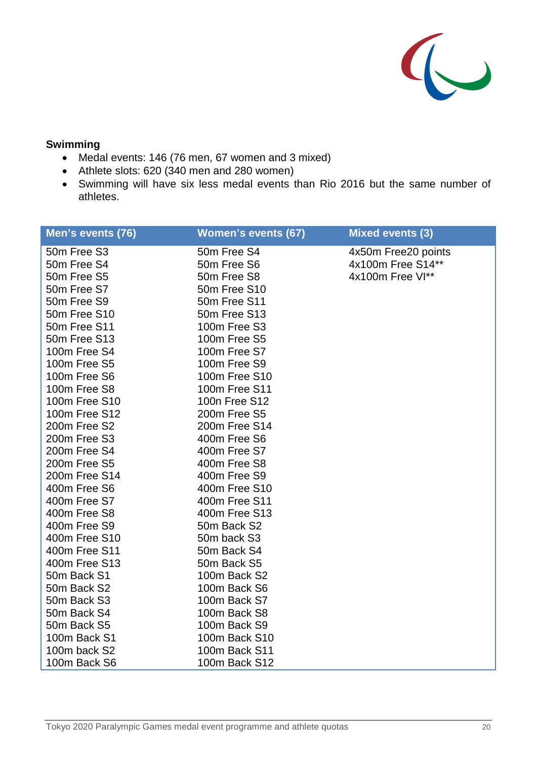

## **Swimming**

- Medal events: 146 (76 men, 67 women and 3 mixed)
- Athlete slots: 620 (340 men and 280 women)
- Swimming will have six less medal events than Rio 2016 but the same number of athletes.

| Men's events (76) | <b>Women's events (67)</b> | <b>Mixed events (3)</b> |
|-------------------|----------------------------|-------------------------|
| 50m Free S3       | 50m Free S4                | 4x50m Free20 points     |
| 50m Free S4       | 50m Free S6                | 4x100m Free S14**       |
| 50m Free S5       | 50m Free S8                | 4x100m Free VI**        |
| 50m Free S7       | 50m Free S10               |                         |
| 50m Free S9       | 50m Free S11               |                         |
| 50m Free S10      | 50m Free S13               |                         |
| 50m Free S11      | 100m Free S3               |                         |
| 50m Free S13      | 100m Free S5               |                         |
| 100m Free S4      | 100m Free S7               |                         |
| 100m Free S5      | 100m Free S9               |                         |
| 100m Free S6      | 100m Free S10              |                         |
| 100m Free S8      | 100m Free S11              |                         |
| 100m Free S10     | 100n Free S12              |                         |
| 100m Free S12     | 200m Free S5               |                         |
| 200m Free S2      | 200m Free S14              |                         |
| 200m Free S3      | 400m Free S6               |                         |
| 200m Free S4      | 400m Free S7               |                         |
| 200m Free S5      | 400m Free S8               |                         |
| 200m Free S14     | 400m Free S9               |                         |
| 400m Free S6      | 400m Free S10              |                         |
| 400m Free S7      | 400m Free S11              |                         |
| 400m Free S8      | 400m Free S13              |                         |
| 400m Free S9      | 50m Back S2                |                         |
| 400m Free S10     | 50m back S3                |                         |
| 400m Free S11     | 50m Back S4                |                         |
| 400m Free S13     | 50m Back S5                |                         |
| 50m Back S1       | 100m Back S2               |                         |
| 50m Back S2       | 100m Back S6               |                         |
| 50m Back S3       | 100m Back S7               |                         |
| 50m Back S4       | 100m Back S8               |                         |
| 50m Back S5       | 100m Back S9               |                         |
| 100m Back S1      | 100m Back S10              |                         |
| 100m back S2      | 100m Back S11              |                         |
| 100m Back S6      | 100m Back S12              |                         |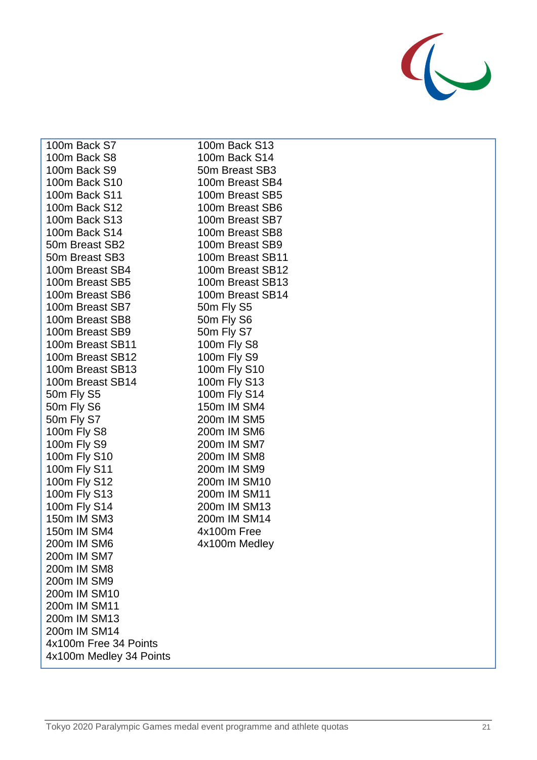

| 100m Back S7               | 1 <sup>1</sup>                   |
|----------------------------|----------------------------------|
| 100m Back S8               | $\mathbf{1}$                     |
| 100m Back S9               | 5                                |
| 100m Back S10              | 1                                |
| 100m Back S11              | 1                                |
| 100m Back S12              | 1                                |
| 100m Back S13              | 1                                |
| 100m Back S14              | $\mathbf{1}$                     |
| 50m Breast SB2             | 1                                |
| 50m Breast SB3             | $\mathbf{1}$                     |
| 100m Breast SB4            | 1                                |
| 100m Breast SB5            | $\mathbf{1}$                     |
| 100m Breast SB6            | 1                                |
| 100m Breast SB7            | 5                                |
| 100m Breast SB8            | 5 <sub>0</sub>                   |
| 100m Breast SB9            | 5                                |
| 100m Breast SB11           | $\mathbf{1}$                     |
| 100m Breast SB12           | $\mathbf{1}$                     |
| 100m Breast SB13           | 1                                |
| 100m Breast SB14           | 1                                |
| 50m Fly S5                 | 1                                |
| 50m Fly S6                 | 1                                |
| 50m Fly S7                 | $\overline{2}$                   |
| 100m Fly S8                | $\overline{2}$                   |
| 100m Fly S9                | $\mathbf{2}$                     |
| 100m Fly S10               | $\overline{c}$                   |
| 100m Fly S11               | $\overline{2}$                   |
| 100m Fly S12               | $\overline{2}$                   |
| 100m Fly S13               | $\overline{2}$<br>$\overline{2}$ |
| 100m Fly S14               | $\mathbf{2}$                     |
| 150m IM SM3                | $\overline{4}$                   |
| 150m IM SM4<br>200m IM SM6 |                                  |
| 200m IM SM7                | 4.                               |
| 200m IM SM8                |                                  |
| 200m IM SM9                |                                  |
| 200m IM SM10               |                                  |
| 200m IM SM11               |                                  |
| 200m IM SM13               |                                  |
| 200m IM SM14               |                                  |
| 4x100m Free 34 Points      |                                  |
| 4x100m Medley 34 Points    |                                  |
|                            |                                  |

00m Back S13 00m Back S14 0m Breast SB3 00m Breast SB4 00m Breast SB5 00m Breast SB6 00m Breast SB7 00m Breast SB8 00m Breast SB9 00m Breast SB11 00m Breast SB12 00m Breast SB13 00m Breast SB14 0m Fly S5 0m Fly S6 0m Fly S7 00m Fly S8 00m Fly S9 00m Fly S10 00m Fly S13 00m Fly S14 50m IM SM4 00m IM SM5 00m IM SM6 00m IM SM7 00m IM SM8 00m IM SM9 00m IM SM10 00m IM SM11 00m IM SM13 00m IM SM14 4x100m Free 4x100m Medley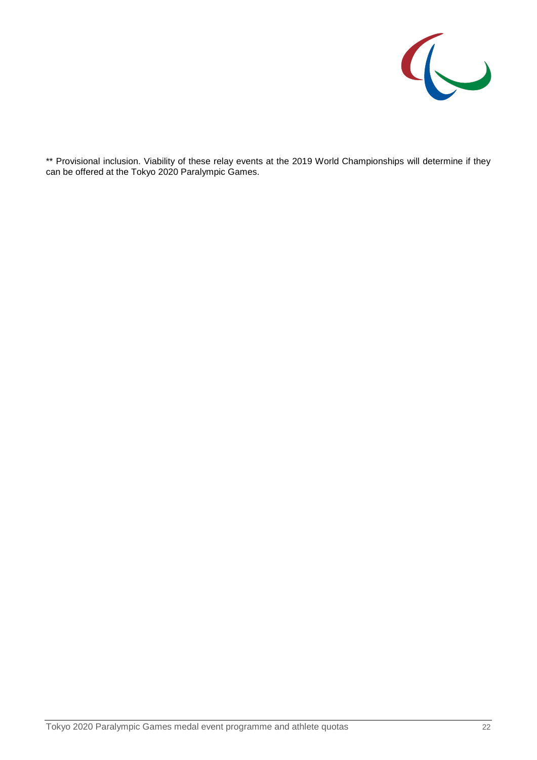

\*\* Provisional inclusion. Viability of these relay events at the 2019 World Championships will determine if they can be offered at the Tokyo 2020 Paralympic Games.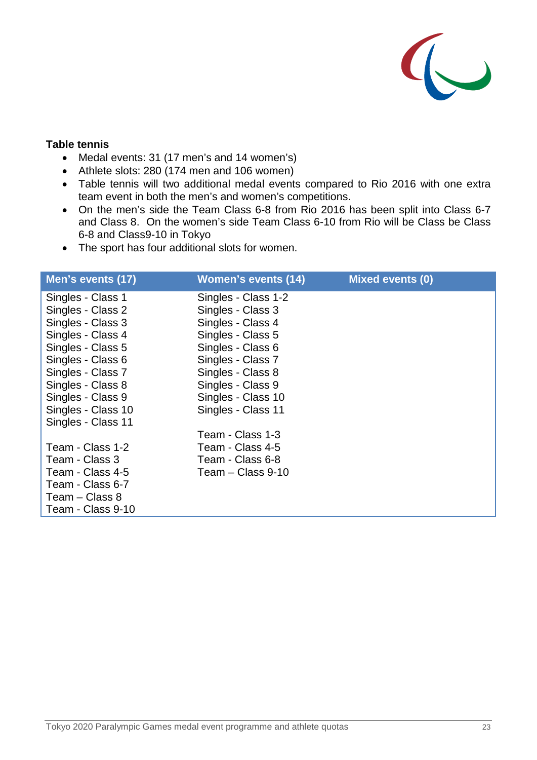

#### **Table tennis**

- Medal events: 31 (17 men's and 14 women's)
- Athlete slots: 280 (174 men and 106 women)
- Table tennis will two additional medal events compared to Rio 2016 with one extra team event in both the men's and women's competitions.
- On the men's side the Team Class 6-8 from Rio 2016 has been split into Class 6-7 and Class 8. On the women's side Team Class 6-10 from Rio will be Class be Class 6-8 and Class9-10 in Tokyo
- The sport has four additional slots for women.

| Men's events (17)  | Women's events (14) | <b>Mixed events (0)</b> |
|--------------------|---------------------|-------------------------|
| Singles - Class 1  | Singles - Class 1-2 |                         |
| Singles - Class 2  | Singles - Class 3   |                         |
| Singles - Class 3  | Singles - Class 4   |                         |
| Singles - Class 4  | Singles - Class 5   |                         |
| Singles - Class 5  | Singles - Class 6   |                         |
| Singles - Class 6  | Singles - Class 7   |                         |
| Singles - Class 7  | Singles - Class 8   |                         |
| Singles - Class 8  | Singles - Class 9   |                         |
| Singles - Class 9  | Singles - Class 10  |                         |
| Singles - Class 10 | Singles - Class 11  |                         |
| Singles - Class 11 |                     |                         |
|                    | Team - Class 1-3    |                         |
| Team - Class 1-2   | Team - Class 4-5    |                         |
| Team - Class 3     | Team - Class 6-8    |                         |
| Team - Class 4-5   | Team $-$ Class 9-10 |                         |
| Team - Class 6-7   |                     |                         |
| Team - Class 8     |                     |                         |
| Team - Class 9-10  |                     |                         |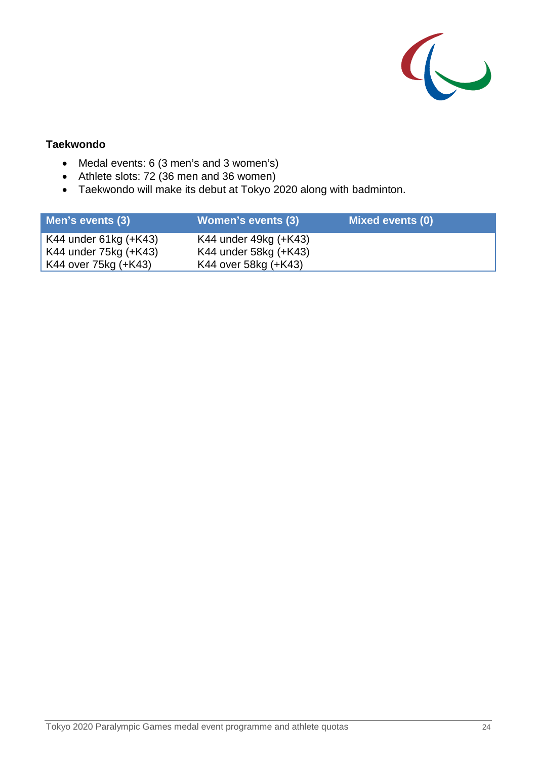

## **Taekwondo**

- Medal events: 6 (3 men's and 3 women's)
- Athlete slots: 72 (36 men and 36 women)
- Taekwondo will make its debut at Tokyo 2020 along with badminton.

| Men's events (3)                                                       | Women's events (3)                                                     | Mixed events (0) |
|------------------------------------------------------------------------|------------------------------------------------------------------------|------------------|
| K44 under 61kg (+K43)<br>K44 under 75kg (+K43)<br>K44 over 75kg (+K43) | K44 under 49kg (+K43)<br>K44 under 58kg (+K43)<br>K44 over 58kg (+K43) |                  |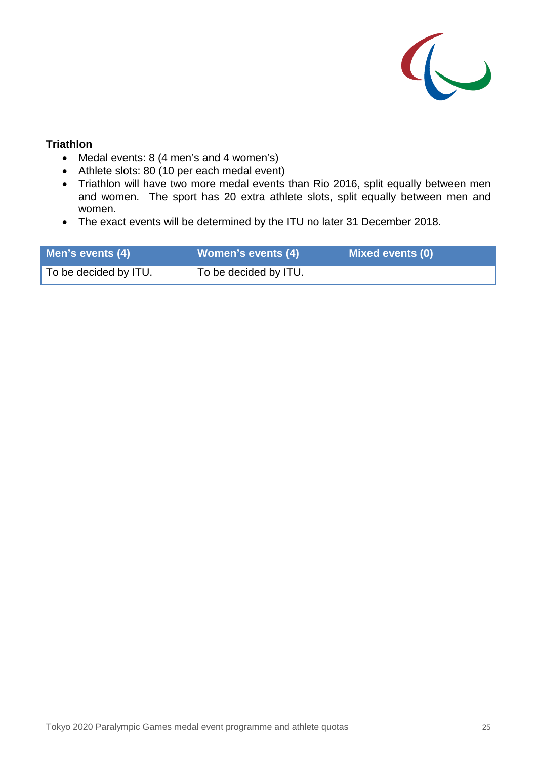

#### **Triathlon**

- Medal events: 8 (4 men's and 4 women's)
- Athlete slots: 80 (10 per each medal event)
- Triathlon will have two more medal events than Rio 2016, split equally between men and women. The sport has 20 extra athlete slots, split equally between men and women.
- The exact events will be determined by the ITU no later 31 December 2018.

| Men's events (4)      | <b>Women's events (4)</b> | <b>Mixed events (0)</b> |
|-----------------------|---------------------------|-------------------------|
| To be decided by ITU. | To be decided by ITU.     |                         |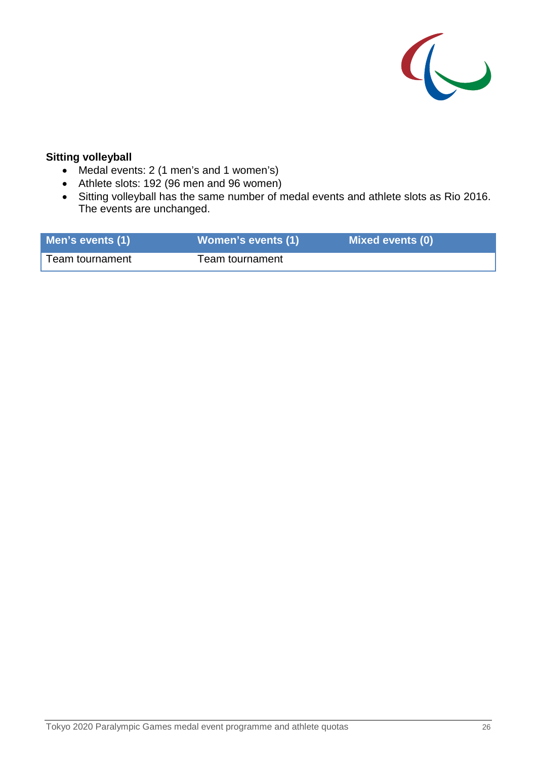

### **Sitting volleyball**

- Medal events: 2 (1 men's and 1 women's)
- Athlete slots: 192 (96 men and 96 women)
- Sitting volleyball has the same number of medal events and athlete slots as Rio 2016. The events are unchanged.

| Men's events (1) | <b>Women's events (1)</b> | <b>Mixed events (0)</b> |
|------------------|---------------------------|-------------------------|
| Team tournament  | Team tournament           |                         |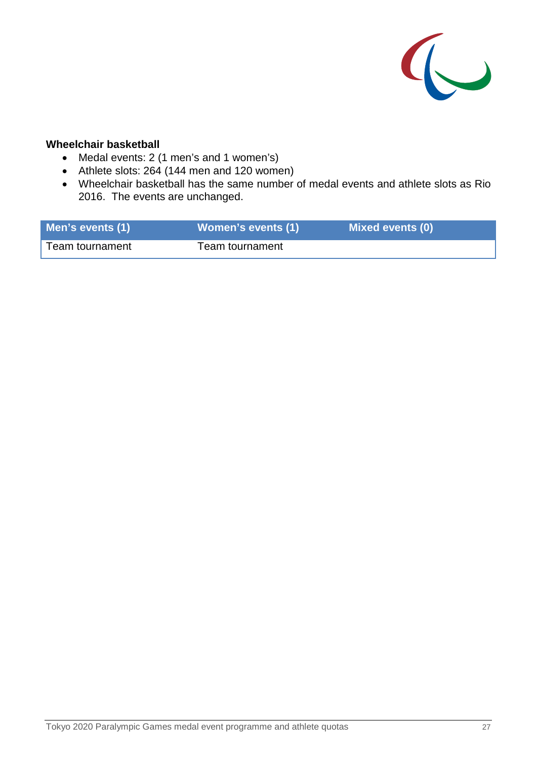

## **Wheelchair basketball**

- Medal events: 2 (1 men's and 1 women's)
- Athlete slots: 264 (144 men and 120 women)
- Wheelchair basketball has the same number of medal events and athlete slots as Rio 2016. The events are unchanged.

| Men's events (1) | <b>Women's events (1)</b> | <b>Mixed events (0)</b> |
|------------------|---------------------------|-------------------------|
| Team tournament  | Team tournament           |                         |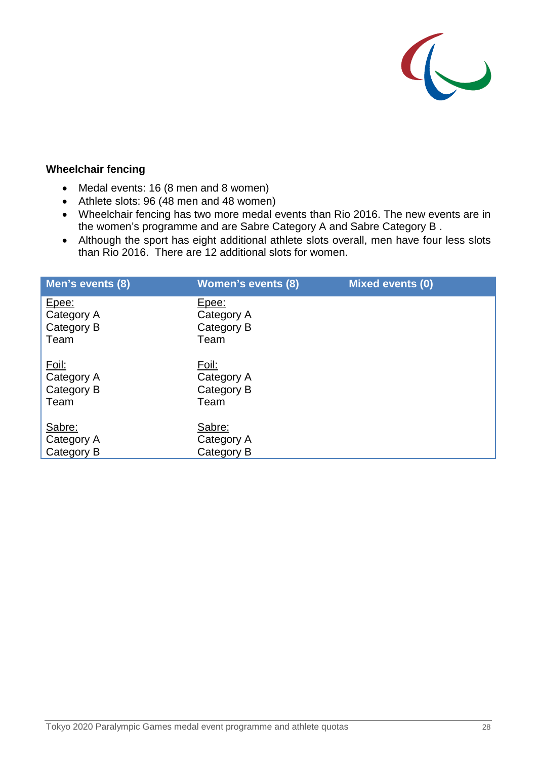

### **Wheelchair fencing**

- Medal events: 16 (8 men and 8 women)
- Athlete slots: 96 (48 men and 48 women)
- Wheelchair fencing has two more medal events than Rio 2016. The new events are in the women's programme and are Sabre Category A and Sabre Category B .
- Although the sport has eight additional athlete slots overall, men have four less slots than Rio 2016. There are 12 additional slots for women.

| Men's events (8)                          | <b>Women's events (8)</b>                 | <b>Mixed events (0)</b> |
|-------------------------------------------|-------------------------------------------|-------------------------|
| Epee:<br>Category A<br>Category B<br>Team | Epee:<br>Category A<br>Category B<br>Team |                         |
| Foil:<br>Category A<br>Category B<br>Team | Foil:<br>Category A<br>Category B<br>Team |                         |
| Sabre:<br>Category A<br>Category B        | Sabre:<br>Category A<br>Category B        |                         |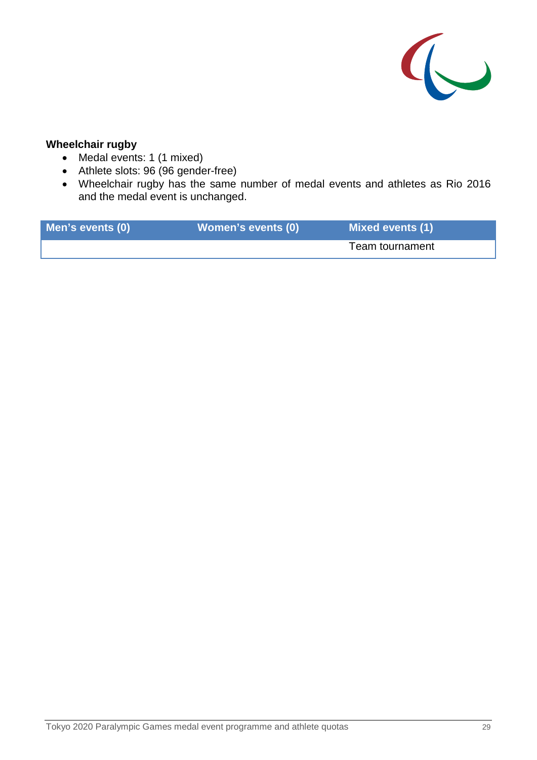

## **Wheelchair rugby**

- Medal events: 1 (1 mixed)
- Athlete slots: 96 (96 gender-free)
- Wheelchair rugby has the same number of medal events and athletes as Rio 2016 and the medal event is unchanged.

| Men's events (0) | <b>Women's events (0)</b> | <b>Mixed events (1)</b> |
|------------------|---------------------------|-------------------------|
|                  |                           | Team tournament         |